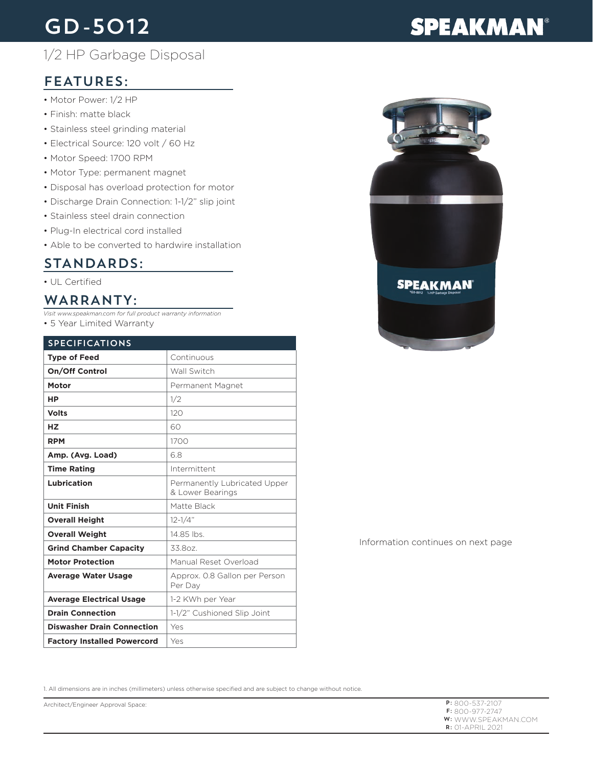# GD-5012

## 1/2 HP Garbage Disposal

## FEATURES:

- Motor Power: 1/2 HP
- Finish: matte black
- Stainless steel grinding material
- Electrical Source: 120 volt / 60 Hz
- Motor Speed: 1700 RPM
- Motor Type: permanent magnet
- Disposal has overload protection for motor
- Discharge Drain Connection: 1-1/2" slip joint
- Stainless steel drain connection
- Plug-In electrical cord installed
- Able to be converted to hardwire installation

### STANDARDS:

#### • UL Certified

### WARRANTY:

*Visit www.speakman.com for full product warranty information*

• 5 Year Limited Warranty

| <b>SPECIFICATIONS</b>              |                                                  |
|------------------------------------|--------------------------------------------------|
| <b>Type of Feed</b>                | Continuous                                       |
| On/Off Control                     | Wall Switch                                      |
| Motor                              | Permanent Magnet                                 |
| <b>HP</b>                          | 1/2                                              |
| <b>Volts</b>                       | 120                                              |
| <b>HZ</b>                          | 60                                               |
| <b>RPM</b>                         | 1700                                             |
| Amp. (Avg. Load)                   | 68                                               |
| <b>Time Rating</b>                 | Intermittent                                     |
| Lubrication                        | Permanently Lubricated Upper<br>& Lower Bearings |
| <b>Unit Finish</b>                 | Matte Black                                      |
| <b>Overall Height</b>              | $12 - 1/4"$                                      |
| <b>Overall Weight</b>              | 14 85 lbs                                        |
| <b>Grind Chamber Capacity</b>      | 33.807.                                          |
| <b>Motor Protection</b>            | Manual Reset Overload                            |
| <b>Average Water Usage</b>         | Approx. 0.8 Gallon per Person<br>Per Day         |
| <b>Average Electrical Usage</b>    | 1-2 KWh per Year                                 |
| <b>Drain Connection</b>            | 1-1/2" Cushioned Slip Joint                      |
| <b>Diswasher Drain Connection</b>  | Yes                                              |
| <b>Factory Installed Powercord</b> | Yes                                              |



#### Information continues on next page

1. All dimensions are in inches (millimeters) unless otherwise specified and are subject to change without notice.

Architect/Engineer Approval Space:

# **SPEAKMAN®**